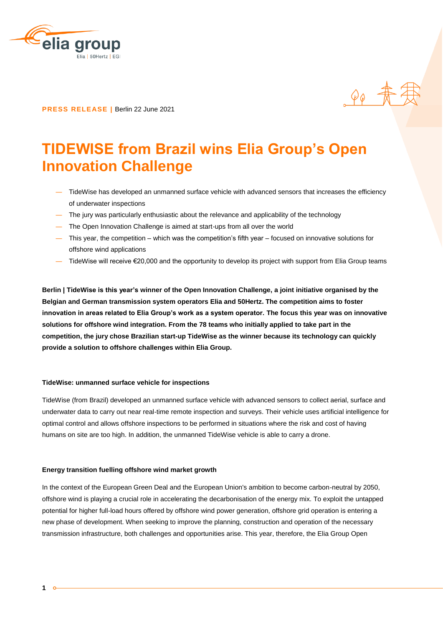

**PRESS RELEASE |** Berlin 22 June 2021

# **TIDEWISE from Brazil wins Elia Group's Open Innovation Challenge**

― TideWise has developed an unmanned surface vehicle with advanced sensors that increases the efficiency of underwater inspections

 $\rho_{\theta}$   $\frac{1}{N}$ 

- ― The jury was particularly enthusiastic about the relevance and applicability of the technology
- ― The Open Innovation Challenge is aimed at start-ups from all over the world
- ― This year, the competition which was the competition's fifth year focused on innovative solutions for offshore wind applications
- ― TideWise will receive €20,000 and the opportunity to develop its project with support from Elia Group teams

**Berlin | TideWise is this year's winner of the Open Innovation Challenge, a joint initiative organised by the Belgian and German transmission system operators Elia and 50Hertz. The competition aims to foster innovation in areas related to Elia Group's work as a system operator. The focus this year was on innovative solutions for offshore wind integration. From the 78 teams who initially applied to take part in the competition, the jury chose Brazilian start-up TideWise as the winner because its technology can quickly provide a solution to offshore challenges within Elia Group.**

### **TideWise: unmanned surface vehicle for inspections**

TideWise (from Brazil) developed an unmanned surface vehicle with advanced sensors to collect aerial, surface and underwater data to carry out near real-time remote inspection and surveys. Their vehicle uses artificial intelligence for optimal control and allows offshore inspections to be performed in situations where the risk and cost of having humans on site are too high. In addition, the unmanned TideWise vehicle is able to carry a drone.

### **Energy transition fuelling offshore wind market growth**

In the context of the European Green Deal and the European Union's ambition to become carbon-neutral by 2050, offshore wind is playing a crucial role in accelerating the decarbonisation of the energy mix. To exploit the untapped potential for higher full-load hours offered by offshore wind power generation, offshore grid operation is entering a new phase of development. When seeking to improve the planning, construction and operation of the necessary transmission infrastructure, both challenges and opportunities arise. This year, therefore, the Elia Group Open

 $\alpha$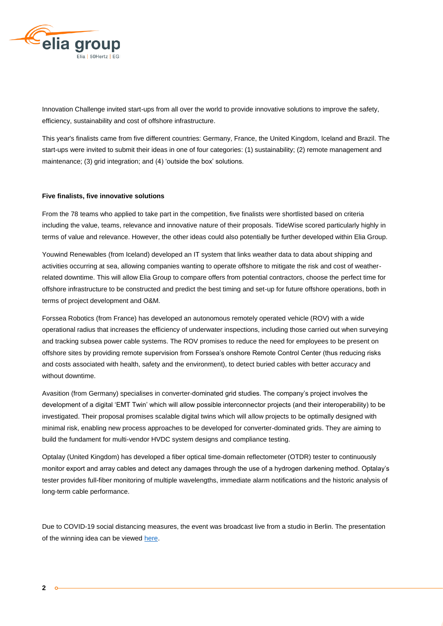

Innovation Challenge invited start-ups from all over the world to provide innovative solutions to improve the safety, efficiency, sustainability and cost of offshore infrastructure.

This year's finalists came from five different countries: Germany, France, the United Kingdom, Iceland and Brazil. The start-ups were invited to submit their ideas in one of four categories: (1) sustainability; (2) remote management and maintenance; (3) grid integration; and (4) 'outside the box' solutions.

### **Five finalists, five innovative solutions**

From the 78 teams who applied to take part in the competition, five finalists were shortlisted based on criteria including the value, teams, relevance and innovative nature of their proposals. TideWise scored particularly highly in terms of value and relevance. However, the other ideas could also potentially be further developed within Elia Group.

Youwind Renewables (from Iceland) developed an IT system that links weather data to data about shipping and activities occurring at sea, allowing companies wanting to operate offshore to mitigate the risk and cost of weatherrelated downtime. This will allow Elia Group to compare offers from potential contractors, choose the perfect time for offshore infrastructure to be constructed and predict the best timing and set-up for future offshore operations, both in terms of project development and O&M.

Forssea Robotics (from France) has developed an autonomous remotely operated vehicle (ROV) with a wide operational radius that increases the efficiency of underwater inspections, including those carried out when surveying and tracking subsea power cable systems. The ROV promises to reduce the need for employees to be present on offshore sites by providing remote supervision from Forssea's onshore Remote Control Center (thus reducing risks and costs associated with health, safety and the environment), to detect buried cables with better accuracy and without downtime.

Avasition (from Germany) specialises in converter-dominated grid studies. The company's project involves the development of a digital 'EMT Twin' which will allow possible interconnector projects (and their interoperability) to be investigated. Their proposal promises scalable digital twins which will allow projects to be optimally designed with minimal risk, enabling new process approaches to be developed for converter-dominated grids. They are aiming to build the fundament for multi-vendor HVDC system designs and compliance testing.

Optalay (United Kingdom) has developed a fiber optical time-domain reflectometer (OTDR) tester to continuously monitor export and array cables and detect any damages through the use of a hydrogen darkening method. Optalay's tester provides full-fiber monitoring of multiple wavelengths, immediate alarm notifications and the historic analysis of long-term cable performance.

Due to COVID-19 social distancing measures, the event was broadcast live from a studio in Berlin. The presentation of the winning idea can be viewed [here.](https://www.youtube.com/watch?v=9X8qjf-Ki20)